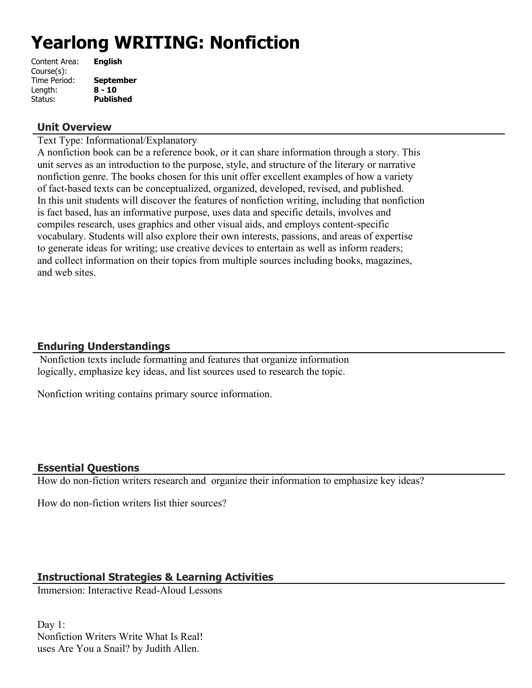# **Yearlong WRITING: Nonfiction**

| Content Area: | <b>English</b>   |
|---------------|------------------|
| Course(s):    |                  |
| Time Period:  | <b>September</b> |
| Length:       | $8 - 10$         |
| Status:       | <b>Published</b> |

### **Unit Overview**

Text Type: Informational/Explanatory

A nonfiction book can be a reference book, or it can share information through a story. This unit serves as an introduction to the purpose, style, and structure of the literary or narrative nonfiction genre. The books chosen for this unit offer excellent examples of how a variety of fact-based texts can be conceptualized, organized, developed, revised, and published. In this unit students will discover the features of nonfiction writing, including that nonfiction is fact based, has an informative purpose, uses data and specific details, involves and compiles research, uses graphics and other visual aids, and employs content-specific vocabulary. Students will also explore their own interests, passions, and areas of expertise to generate ideas for writing; use creative devices to entertain as well as inform readers; and collect information on their topics from multiple sources including books, magazines, and web sites.

## **Enduring Understandings**

 Nonfiction texts include formatting and features that organize information logically, emphasize key ideas, and list sources used to research the topic.

Nonfiction writing contains primary source information.

## **Essential Questions**

How do non-fiction writers research and organize their information to emphasize key ideas?

How do non-fiction writers list thier sources?

## **Instructional Strategies & Learning Activities**

Immersion: Interactive Read-Aloud Lessons

Day 1: Nonfiction Writers Write What Is Real! uses Are You a Snail? by Judith Allen.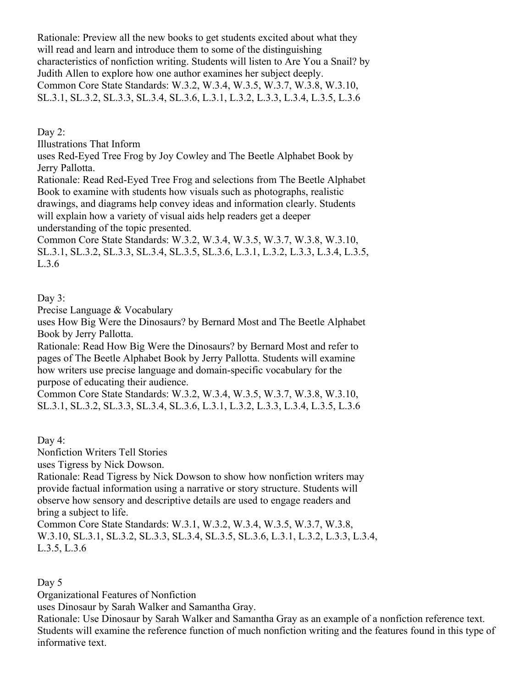Rationale: Preview all the new books to get students excited about what they will read and learn and introduce them to some of the distinguishing characteristics of nonfiction writing. Students will listen to Are You a Snail? by Judith Allen to explore how one author examines her subject deeply. Common Core State Standards: W.3.2, W.3.4, W.3.5, W.3.7, W.3.8, W.3.10, SL.3.1, SL.3.2, SL.3.3, SL.3.4, SL.3.6, L.3.1, L.3.2, L.3.3, L.3.4, L.3.5, L.3.6

Day 2:

Illustrations That Inform

uses Red-Eyed Tree Frog by Joy Cowley and The Beetle Alphabet Book by Jerry Pallotta.

Rationale: Read Red-Eyed Tree Frog and selections from The Beetle Alphabet Book to examine with students how visuals such as photographs, realistic drawings, and diagrams help convey ideas and information clearly. Students will explain how a variety of visual aids help readers get a deeper understanding of the topic presented.

Common Core State Standards: W.3.2, W.3.4, W.3.5, W.3.7, W.3.8, W.3.10, SL.3.1, SL.3.2, SL.3.3, SL.3.4, SL.3.5, SL.3.6, L.3.1, L.3.2, L.3.3, L.3.4, L.3.5, L.3.6

#### Day 3:

Precise Language & Vocabulary

uses How Big Were the Dinosaurs? by Bernard Most and The Beetle Alphabet Book by Jerry Pallotta.

Rationale: Read How Big Were the Dinosaurs? by Bernard Most and refer to pages of The Beetle Alphabet Book by Jerry Pallotta. Students will examine how writers use precise language and domain-specific vocabulary for the purpose of educating their audience.

Common Core State Standards: W.3.2, W.3.4, W.3.5, W.3.7, W.3.8, W.3.10, SL.3.1, SL.3.2, SL.3.3, SL.3.4, SL.3.6, L.3.1, L.3.2, L.3.3, L.3.4, L.3.5, L.3.6

Day 4:

Nonfiction Writers Tell Stories

uses Tigress by Nick Dowson.

Rationale: Read Tigress by Nick Dowson to show how nonfiction writers may provide factual information using a narrative or story structure. Students will observe how sensory and descriptive details are used to engage readers and bring a subject to life.

Common Core State Standards: W.3.1, W.3.2, W.3.4, W.3.5, W.3.7, W.3.8, W.3.10, SL.3.1, SL.3.2, SL.3.3, SL.3.4, SL.3.5, SL.3.6, L.3.1, L.3.2, L.3.3, L.3.4, L.3.5, L.3.6

Day 5

Organizational Features of Nonfiction

uses Dinosaur by Sarah Walker and Samantha Gray.

Rationale: Use Dinosaur by Sarah Walker and Samantha Gray as an example of a nonfiction reference text. Students will examine the reference function of much nonfiction writing and the features found in this type of informative text.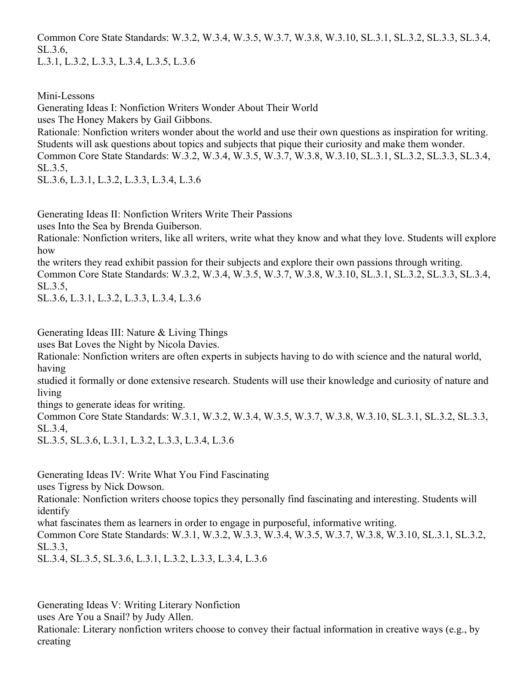Common Core State Standards: W.3.2, W.3.4, W.3.5, W.3.7, W.3.8, W.3.10, SL.3.1, SL.3.2, SL.3.3, SL.3.4, SL.3.6,

L.3.1, L.3.2, L.3.3, L.3.4, L.3.5, L.3.6

Mini-Lessons

Generating Ideas I: Nonfiction Writers Wonder About Their World

uses The Honey Makers by Gail Gibbons.

Rationale: Nonfiction writers wonder about the world and use their own questions as inspiration for writing. Students will ask questions about topics and subjects that pique their curiosity and make them wonder. Common Core State Standards: W.3.2, W.3.4, W.3.5, W.3.7, W.3.8, W.3.10, SL.3.1, SL.3.2, SL.3.3, SL.3.4, SL.3.5,

SL.3.6, L.3.1, L.3.2, L.3.3, L.3.4, L.3.6

Generating Ideas II: Nonfiction Writers Write Their Passions

uses Into the Sea by Brenda Guiberson.

Rationale: Nonfiction writers, like all writers, write what they know and what they love. Students will explore how

the writers they read exhibit passion for their subjects and explore their own passions through writing. Common Core State Standards: W.3.2, W.3.4, W.3.5, W.3.7, W.3.8, W.3.10, SL.3.1, SL.3.2, SL.3.3, SL.3.4, SL.3.5,

SL.3.6, L.3.1, L.3.2, L.3.3, L.3.4, L.3.6

Generating Ideas III: Nature & Living Things

uses Bat Loves the Night by Nicola Davies.

Rationale: Nonfiction writers are often experts in subjects having to do with science and the natural world, having

studied it formally or done extensive research. Students will use their knowledge and curiosity of nature and living

things to generate ideas for writing.

Common Core State Standards: W.3.1, W.3.2, W.3.4, W.3.5, W.3.7, W.3.8, W.3.10, SL.3.1, SL.3.2, SL.3.3, SL.3.4,

SL.3.5, SL.3.6, L.3.1, L.3.2, L.3.3, L.3.4, L.3.6

Generating Ideas IV: Write What You Find Fascinating

uses Tigress by Nick Dowson.

Rationale: Nonfiction writers choose topics they personally find fascinating and interesting. Students will identify

what fascinates them as learners in order to engage in purposeful, informative writing.

Common Core State Standards: W.3.1, W.3.2, W.3.3, W.3.4, W.3.5, W.3.7, W.3.8, W.3.10, SL.3.1, SL.3.2, SL.3.3,

SL.3.4, SL.3.5, SL.3.6, L.3.1, L.3.2, L.3.3, L.3.4, L.3.6

Generating Ideas V: Writing Literary Nonfiction

uses Are You a Snail? by Judy Allen.

Rationale: Literary nonfiction writers choose to convey their factual information in creative ways (e.g., by creating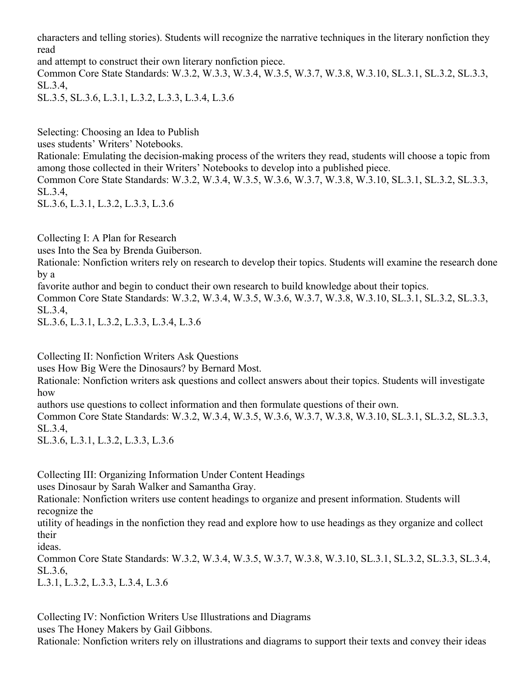characters and telling stories). Students will recognize the narrative techniques in the literary nonfiction they read

and attempt to construct their own literary nonfiction piece.

Common Core State Standards: W.3.2, W.3.3, W.3.4, W.3.5, W.3.7, W.3.8, W.3.10, SL.3.1, SL.3.2, SL.3.3, SL.3.4,

SL.3.5, SL.3.6, L.3.1, L.3.2, L.3.3, L.3.4, L.3.6

Selecting: Choosing an Idea to Publish

uses students' Writers' Notebooks.

Rationale: Emulating the decision-making process of the writers they read, students will choose a topic from among those collected in their Writers' Notebooks to develop into a published piece.

Common Core State Standards: W.3.2, W.3.4, W.3.5, W.3.6, W.3.7, W.3.8, W.3.10, SL.3.1, SL.3.2, SL.3.3, SL.3.4,

SL.3.6, L.3.1, L.3.2, L.3.3, L.3.6

Collecting I: A Plan for Research

uses Into the Sea by Brenda Guiberson.

Rationale: Nonfiction writers rely on research to develop their topics. Students will examine the research done by a

favorite author and begin to conduct their own research to build knowledge about their topics.

Common Core State Standards: W.3.2, W.3.4, W.3.5, W.3.6, W.3.7, W.3.8, W.3.10, SL.3.1, SL.3.2, SL.3.3, SL.3.4,

SL.3.6, L.3.1, L.3.2, L.3.3, L.3.4, L.3.6

Collecting II: Nonfiction Writers Ask Questions

uses How Big Were the Dinosaurs? by Bernard Most.

Rationale: Nonfiction writers ask questions and collect answers about their topics. Students will investigate how

authors use questions to collect information and then formulate questions of their own.

Common Core State Standards: W.3.2, W.3.4, W.3.5, W.3.6, W.3.7, W.3.8, W.3.10, SL.3.1, SL.3.2, SL.3.3, SL.3.4,

SL.3.6, L.3.1, L.3.2, L.3.3, L.3.6

Collecting III: Organizing Information Under Content Headings

uses Dinosaur by Sarah Walker and Samantha Gray.

Rationale: Nonfiction writers use content headings to organize and present information. Students will recognize the

utility of headings in the nonfiction they read and explore how to use headings as they organize and collect their

ideas.

Common Core State Standards: W.3.2, W.3.4, W.3.5, W.3.7, W.3.8, W.3.10, SL.3.1, SL.3.2, SL.3.3, SL.3.4, SL.3.6,

L.3.1, L.3.2, L.3.3, L.3.4, L.3.6

Collecting IV: Nonfiction Writers Use Illustrations and Diagrams

uses The Honey Makers by Gail Gibbons.

Rationale: Nonfiction writers rely on illustrations and diagrams to support their texts and convey their ideas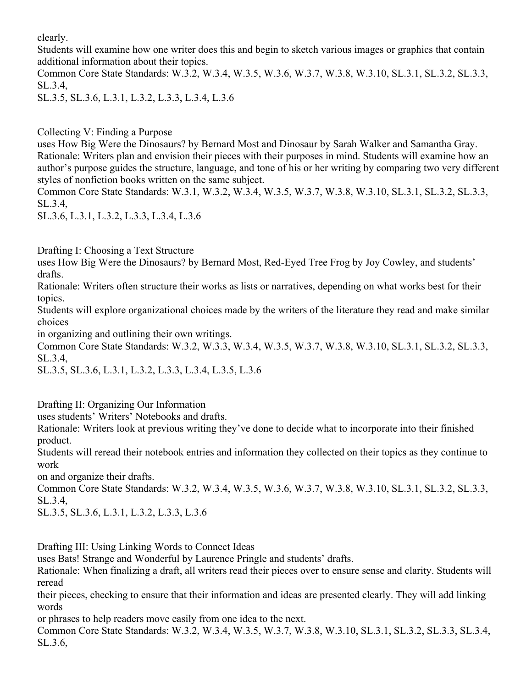clearly.

Students will examine how one writer does this and begin to sketch various images or graphics that contain additional information about their topics.

Common Core State Standards: W.3.2, W.3.4, W.3.5, W.3.6, W.3.7, W.3.8, W.3.10, SL.3.1, SL.3.2, SL.3.3, SL.3.4,

SL.3.5, SL.3.6, L.3.1, L.3.2, L.3.3, L.3.4, L.3.6

Collecting V: Finding a Purpose

uses How Big Were the Dinosaurs? by Bernard Most and Dinosaur by Sarah Walker and Samantha Gray. Rationale: Writers plan and envision their pieces with their purposes in mind. Students will examine how an author's purpose guides the structure, language, and tone of his or her writing by comparing two very different styles of nonfiction books written on the same subject.

Common Core State Standards: W.3.1, W.3.2, W.3.4, W.3.5, W.3.7, W.3.8, W.3.10, SL.3.1, SL.3.2, SL.3.3, SL.3.4,

SL.3.6, L.3.1, L.3.2, L.3.3, L.3.4, L.3.6

Drafting I: Choosing a Text Structure

uses How Big Were the Dinosaurs? by Bernard Most, Red-Eyed Tree Frog by Joy Cowley, and students' drafts.

Rationale: Writers often structure their works as lists or narratives, depending on what works best for their topics.

Students will explore organizational choices made by the writers of the literature they read and make similar choices

in organizing and outlining their own writings.

Common Core State Standards: W.3.2, W.3.3, W.3.4, W.3.5, W.3.7, W.3.8, W.3.10, SL.3.1, SL.3.2, SL.3.3, SL.3.4,

SL.3.5, SL.3.6, L.3.1, L.3.2, L.3.3, L.3.4, L.3.5, L.3.6

Drafting II: Organizing Our Information

uses students' Writers' Notebooks and drafts.

Rationale: Writers look at previous writing they've done to decide what to incorporate into their finished product.

Students will reread their notebook entries and information they collected on their topics as they continue to work

on and organize their drafts.

Common Core State Standards: W.3.2, W.3.4, W.3.5, W.3.6, W.3.7, W.3.8, W.3.10, SL.3.1, SL.3.2, SL.3.3, SL.3.4,

SL.3.5, SL.3.6, L.3.1, L.3.2, L.3.3, L.3.6

Drafting III: Using Linking Words to Connect Ideas

uses Bats! Strange and Wonderful by Laurence Pringle and students' drafts.

Rationale: When finalizing a draft, all writers read their pieces over to ensure sense and clarity. Students will reread

their pieces, checking to ensure that their information and ideas are presented clearly. They will add linking words

or phrases to help readers move easily from one idea to the next.

Common Core State Standards: W.3.2, W.3.4, W.3.5, W.3.7, W.3.8, W.3.10, SL.3.1, SL.3.2, SL.3.3, SL.3.4, SL.3.6,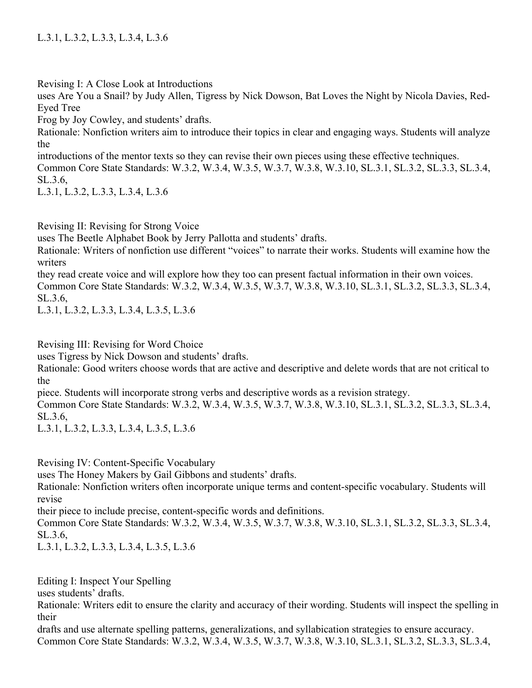Revising I: A Close Look at Introductions

uses Are You a Snail? by Judy Allen, Tigress by Nick Dowson, Bat Loves the Night by Nicola Davies, Red-Eyed Tree

Frog by Joy Cowley, and students' drafts.

Rationale: Nonfiction writers aim to introduce their topics in clear and engaging ways. Students will analyze the

introductions of the mentor texts so they can revise their own pieces using these effective techniques. Common Core State Standards: W.3.2, W.3.4, W.3.5, W.3.7, W.3.8, W.3.10, SL.3.1, SL.3.2, SL.3.3, SL.3.4, SL.3.6,

L.3.1, L.3.2, L.3.3, L.3.4, L.3.6

Revising II: Revising for Strong Voice

uses The Beetle Alphabet Book by Jerry Pallotta and students' drafts.

Rationale: Writers of nonfiction use different "voices" to narrate their works. Students will examine how the writers

they read create voice and will explore how they too can present factual information in their own voices.

Common Core State Standards: W.3.2, W.3.4, W.3.5, W.3.7, W.3.8, W.3.10, SL.3.1, SL.3.2, SL.3.3, SL.3.4, SL.3.6,

L.3.1, L.3.2, L.3.3, L.3.4, L.3.5, L.3.6

Revising III: Revising for Word Choice

uses Tigress by Nick Dowson and students' drafts.

Rationale: Good writers choose words that are active and descriptive and delete words that are not critical to the

piece. Students will incorporate strong verbs and descriptive words as a revision strategy.

Common Core State Standards: W.3.2, W.3.4, W.3.5, W.3.7, W.3.8, W.3.10, SL.3.1, SL.3.2, SL.3.3, SL.3.4, SL.3.6,

L.3.1, L.3.2, L.3.3, L.3.4, L.3.5, L.3.6

Revising IV: Content-Specific Vocabulary

uses The Honey Makers by Gail Gibbons and students' drafts.

Rationale: Nonfiction writers often incorporate unique terms and content-specific vocabulary. Students will revise

their piece to include precise, content-specific words and definitions.

Common Core State Standards: W.3.2, W.3.4, W.3.5, W.3.7, W.3.8, W.3.10, SL.3.1, SL.3.2, SL.3.3, SL.3.4, SL.3.6,

L.3.1, L.3.2, L.3.3, L.3.4, L.3.5, L.3.6

Editing I: Inspect Your Spelling

uses students' drafts.

Rationale: Writers edit to ensure the clarity and accuracy of their wording. Students will inspect the spelling in their

drafts and use alternate spelling patterns, generalizations, and syllabication strategies to ensure accuracy. Common Core State Standards: W.3.2, W.3.4, W.3.5, W.3.7, W.3.8, W.3.10, SL.3.1, SL.3.2, SL.3.3, SL.3.4,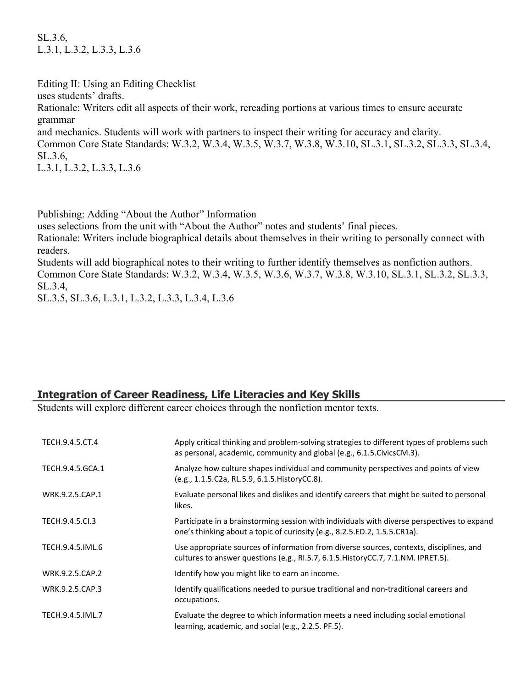SL.3.6, L.3.1, L.3.2, L.3.3, L.3.6

Editing II: Using an Editing Checklist uses students' drafts. Rationale: Writers edit all aspects of their work, rereading portions at various times to ensure accurate grammar and mechanics. Students will work with partners to inspect their writing for accuracy and clarity. Common Core State Standards: W.3.2, W.3.4, W.3.5, W.3.7, W.3.8, W.3.10, SL.3.1, SL.3.2, SL.3.3, SL.3.4, SL.3.6, L.3.1, L.3.2, L.3.3, L.3.6

Publishing: Adding "About the Author" Information

uses selections from the unit with "About the Author" notes and students' final pieces.

Rationale: Writers include biographical details about themselves in their writing to personally connect with readers.

Students will add biographical notes to their writing to further identify themselves as nonfiction authors. Common Core State Standards: W.3.2, W.3.4, W.3.5, W.3.6, W.3.7, W.3.8, W.3.10, SL.3.1, SL.3.2, SL.3.3, SL.3.4,

SL.3.5, SL.3.6, L.3.1, L.3.2, L.3.3, L.3.4, L.3.6

## **Integration of Career Readiness, Life Literacies and Key Skills**

Students will explore different career choices through the nonfiction mentor texts.

| TECH.9.4.5.CT.4  | Apply critical thinking and problem-solving strategies to different types of problems such<br>as personal, academic, community and global (e.g., 6.1.5. Civics CM.3).          |
|------------------|--------------------------------------------------------------------------------------------------------------------------------------------------------------------------------|
| TECH.9.4.5.GCA.1 | Analyze how culture shapes individual and community perspectives and points of view<br>(e.g., 1.1.5.C2a, RL.5.9, 6.1.5. HistoryCC.8).                                          |
| WRK.9.2.5.CAP.1  | Evaluate personal likes and dislikes and identify careers that might be suited to personal<br>likes.                                                                           |
| TECH.9.4.5.Cl.3  | Participate in a brainstorming session with individuals with diverse perspectives to expand<br>one's thinking about a topic of curiosity (e.g., 8.2.5.ED.2, 1.5.5.CR1a).       |
| TECH.9.4.5.IML.6 | Use appropriate sources of information from diverse sources, contexts, disciplines, and<br>cultures to answer questions (e.g., RI.5.7, 6.1.5. History CC.7, 7.1. NM. IPRET.5). |
| WRK.9.2.5.CAP.2  | Identify how you might like to earn an income.                                                                                                                                 |
| WRK.9.2.5.CAP.3  | Identify qualifications needed to pursue traditional and non-traditional careers and<br>occupations.                                                                           |
| TECH.9.4.5.IML.7 | Evaluate the degree to which information meets a need including social emotional<br>learning, academic, and social (e.g., 2.2.5. PF.5).                                        |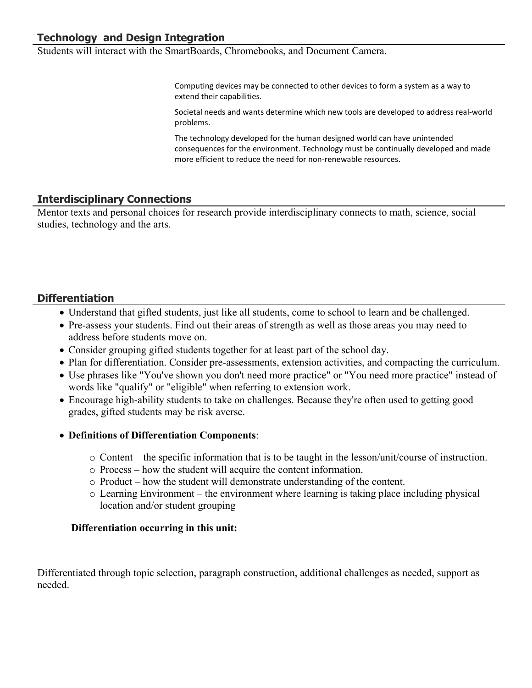Students will interact with the SmartBoards, Chromebooks, and Document Camera.

Computing devices may be connected to other devices to form a system as a way to extend their capabilities.

Societal needs and wants determine which new tools are developed to address real-world problems.

The technology developed for the human designed world can have unintended consequences for the environment. Technology must be continually developed and made more efficient to reduce the need for non-renewable resources.

## **Interdisciplinary Connections**

Mentor texts and personal choices for research provide interdisciplinary connects to math, science, social studies, technology and the arts.

## **Differentiation**

- Understand that gifted students, just like all students, come to school to learn and be challenged.
- Pre-assess your students. Find out their areas of strength as well as those areas you may need to address before students move on.
- Consider grouping gifted students together for at least part of the school day.
- Plan for differentiation. Consider pre-assessments, extension activities, and compacting the curriculum.
- Use phrases like "You've shown you don't need more practice" or "You need more practice" instead of words like "qualify" or "eligible" when referring to extension work.
- Encourage high-ability students to take on challenges. Because they're often used to getting good grades, gifted students may be risk averse.
- **Definitions of Differentiation Components**:
	- o Content the specific information that is to be taught in the lesson/unit/course of instruction.
	- o Process how the student will acquire the content information.
	- o Product how the student will demonstrate understanding of the content.
	- o Learning Environment the environment where learning is taking place including physical location and/or student grouping

#### **Differentiation occurring in this unit:**

Differentiated through topic selection, paragraph construction, additional challenges as needed, support as needed.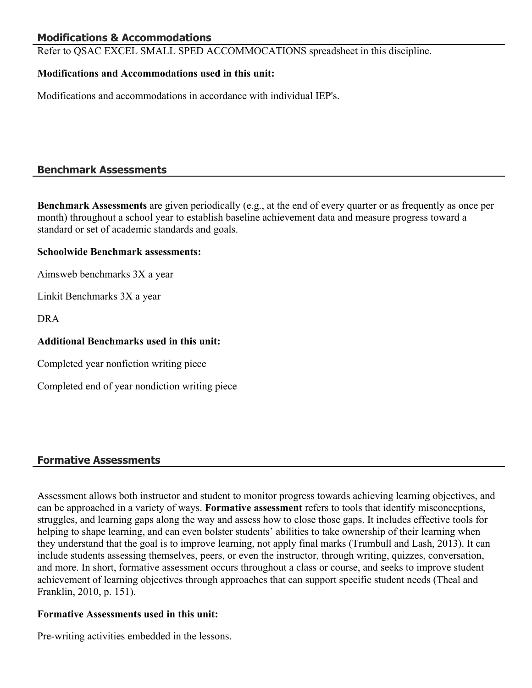## **Modifications & Accommodations**

Refer to QSAC EXCEL SMALL SPED ACCOMMOCATIONS spreadsheet in this discipline.

### **Modifications and Accommodations used in this unit:**

Modifications and accommodations in accordance with individual IEP's.

## **Benchmark Assessments**

**Benchmark Assessments** are given periodically (e.g., at the end of every quarter or as frequently as once per month) throughout a school year to establish baseline achievement data and measure progress toward a standard or set of academic standards and goals.

#### **Schoolwide Benchmark assessments:**

Aimsweb benchmarks 3X a year

Linkit Benchmarks 3X a year

DRA

#### **Additional Benchmarks used in this unit:**

Completed year nonfiction writing piece

Completed end of year nondiction writing piece

## **Formative Assessments**

Assessment allows both instructor and student to monitor progress towards achieving learning objectives, and can be approached in a variety of ways. **Formative assessment** refers to tools that identify misconceptions, struggles, and learning gaps along the way and assess how to close those gaps. It includes effective tools for helping to shape learning, and can even bolster students' abilities to take ownership of their learning when they understand that the goal is to improve learning, not apply final marks (Trumbull and Lash, 2013). It can include students assessing themselves, peers, or even the instructor, through writing, quizzes, conversation, and more. In short, formative assessment occurs throughout a class or course, and seeks to improve student achievement of learning objectives through approaches that can support specific student needs (Theal and Franklin, 2010, p. 151).

#### **Formative Assessments used in this unit:**

Pre-writing activities embedded in the lessons.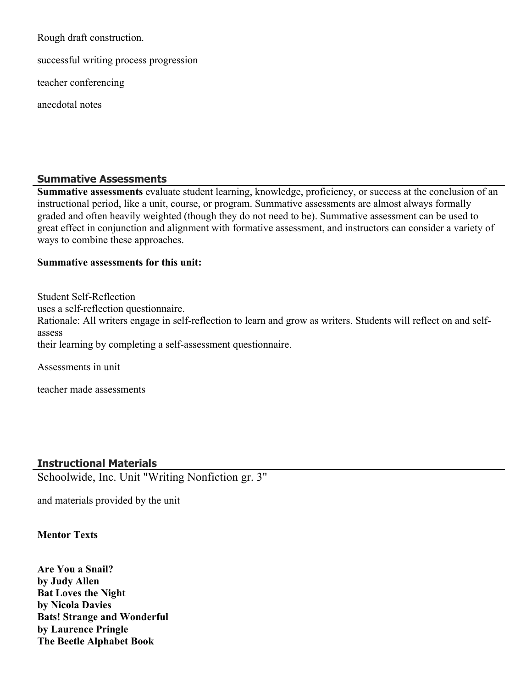Rough draft construction.

successful writing process progression

teacher conferencing

anecdotal notes

#### **Summative Assessments**

**Summative assessments** evaluate student learning, knowledge, proficiency, or success at the conclusion of an instructional period, like a unit, course, or program. Summative assessments are almost always formally graded and often heavily weighted (though they do not need to be). Summative assessment can be used to great effect in conjunction and alignment with formative assessment, and instructors can consider a variety of ways to combine these approaches.

#### **Summative assessments for this unit:**

Student Self-Reflection uses a self-reflection questionnaire. Rationale: All writers engage in self-reflection to learn and grow as writers. Students will reflect on and selfassess their learning by completing a self-assessment questionnaire.

Assessments in unit

teacher made assessments

## **Instructional Materials**

Schoolwide, Inc. Unit "Writing Nonfiction gr. 3"

and materials provided by the unit

#### **Mentor Texts**

**Are You a Snail? by Judy Allen Bat Loves the Night by Nicola Davies Bats! Strange and Wonderful by Laurence Pringle The Beetle Alphabet Book**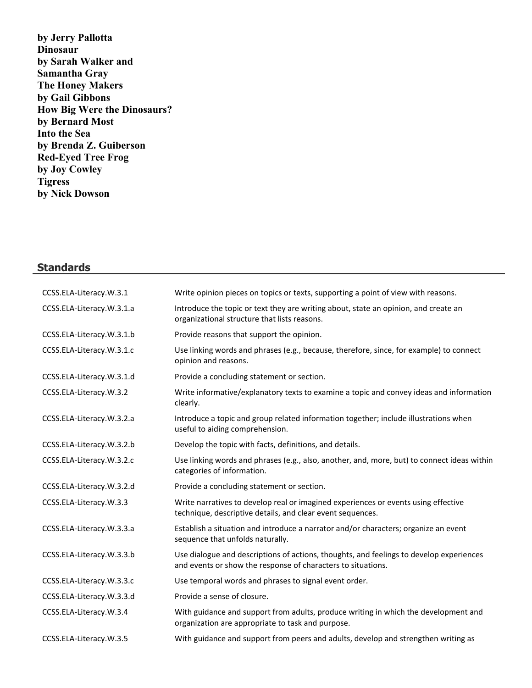**by Jerry Pallotta Dinosaur by Sarah Walker and Samantha Gray The Honey Makers by Gail Gibbons How Big Were the Dinosaurs? by Bernard Most Into the Sea by Brenda Z. Guiberson Red-Eyed Tree Frog by Joy Cowley Tigress by Nick Dowson**

# **Standards**

| CCSS.ELA-Literacy.W.3.1   | Write opinion pieces on topics or texts, supporting a point of view with reasons.                                                                       |
|---------------------------|---------------------------------------------------------------------------------------------------------------------------------------------------------|
| CCSS.ELA-Literacy.W.3.1.a | Introduce the topic or text they are writing about, state an opinion, and create an<br>organizational structure that lists reasons.                     |
| CCSS.ELA-Literacy.W.3.1.b | Provide reasons that support the opinion.                                                                                                               |
| CCSS.ELA-Literacy.W.3.1.c | Use linking words and phrases (e.g., because, therefore, since, for example) to connect<br>opinion and reasons.                                         |
| CCSS.ELA-Literacy.W.3.1.d | Provide a concluding statement or section.                                                                                                              |
| CCSS.ELA-Literacy.W.3.2   | Write informative/explanatory texts to examine a topic and convey ideas and information<br>clearly.                                                     |
| CCSS.ELA-Literacy.W.3.2.a | Introduce a topic and group related information together; include illustrations when<br>useful to aiding comprehension.                                 |
| CCSS.ELA-Literacy.W.3.2.b | Develop the topic with facts, definitions, and details.                                                                                                 |
| CCSS.ELA-Literacy.W.3.2.c | Use linking words and phrases (e.g., also, another, and, more, but) to connect ideas within<br>categories of information.                               |
| CCSS.ELA-Literacy.W.3.2.d | Provide a concluding statement or section.                                                                                                              |
| CCSS.ELA-Literacy.W.3.3   | Write narratives to develop real or imagined experiences or events using effective<br>technique, descriptive details, and clear event sequences.        |
| CCSS.ELA-Literacy.W.3.3.a | Establish a situation and introduce a narrator and/or characters; organize an event<br>sequence that unfolds naturally.                                 |
| CCSS.ELA-Literacy.W.3.3.b | Use dialogue and descriptions of actions, thoughts, and feelings to develop experiences<br>and events or show the response of characters to situations. |
| CCSS.ELA-Literacy.W.3.3.c | Use temporal words and phrases to signal event order.                                                                                                   |
| CCSS.ELA-Literacy.W.3.3.d | Provide a sense of closure.                                                                                                                             |
| CCSS.ELA-Literacy.W.3.4   | With guidance and support from adults, produce writing in which the development and<br>organization are appropriate to task and purpose.                |
| CCSS.ELA-Literacy.W.3.5   | With guidance and support from peers and adults, develop and strengthen writing as                                                                      |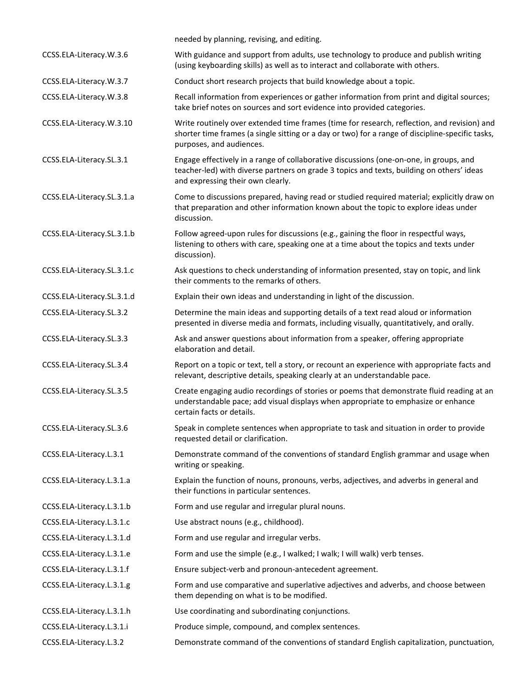|                            | needed by planning, revising, and editing.                                                                                                                                                                                  |
|----------------------------|-----------------------------------------------------------------------------------------------------------------------------------------------------------------------------------------------------------------------------|
| CCSS.ELA-Literacy.W.3.6    | With guidance and support from adults, use technology to produce and publish writing<br>(using keyboarding skills) as well as to interact and collaborate with others.                                                      |
| CCSS.ELA-Literacy.W.3.7    | Conduct short research projects that build knowledge about a topic.                                                                                                                                                         |
| CCSS.ELA-Literacy.W.3.8    | Recall information from experiences or gather information from print and digital sources;<br>take brief notes on sources and sort evidence into provided categories.                                                        |
| CCSS.ELA-Literacy.W.3.10   | Write routinely over extended time frames (time for research, reflection, and revision) and<br>shorter time frames (a single sitting or a day or two) for a range of discipline-specific tasks,<br>purposes, and audiences. |
| CCSS.ELA-Literacy.SL.3.1   | Engage effectively in a range of collaborative discussions (one-on-one, in groups, and<br>teacher-led) with diverse partners on grade 3 topics and texts, building on others' ideas<br>and expressing their own clearly.    |
| CCSS.ELA-Literacy.SL.3.1.a | Come to discussions prepared, having read or studied required material; explicitly draw on<br>that preparation and other information known about the topic to explore ideas under<br>discussion.                            |
| CCSS.ELA-Literacy.SL.3.1.b | Follow agreed-upon rules for discussions (e.g., gaining the floor in respectful ways,<br>listening to others with care, speaking one at a time about the topics and texts under<br>discussion).                             |
| CCSS.ELA-Literacy.SL.3.1.c | Ask questions to check understanding of information presented, stay on topic, and link<br>their comments to the remarks of others.                                                                                          |
| CCSS.ELA-Literacy.SL.3.1.d | Explain their own ideas and understanding in light of the discussion.                                                                                                                                                       |
| CCSS.ELA-Literacy.SL.3.2   | Determine the main ideas and supporting details of a text read aloud or information<br>presented in diverse media and formats, including visually, quantitatively, and orally.                                              |
| CCSS.ELA-Literacy.SL.3.3   | Ask and answer questions about information from a speaker, offering appropriate<br>elaboration and detail.                                                                                                                  |
| CCSS.ELA-Literacy.SL.3.4   | Report on a topic or text, tell a story, or recount an experience with appropriate facts and<br>relevant, descriptive details, speaking clearly at an understandable pace.                                                  |
| CCSS.ELA-Literacy.SL.3.5   | Create engaging audio recordings of stories or poems that demonstrate fluid reading at an<br>understandable pace; add visual displays when appropriate to emphasize or enhance<br>certain facts or details.                 |
| CCSS.ELA-Literacy.SL.3.6   | Speak in complete sentences when appropriate to task and situation in order to provide<br>requested detail or clarification.                                                                                                |
| CCSS.ELA-Literacy.L.3.1    | Demonstrate command of the conventions of standard English grammar and usage when<br>writing or speaking.                                                                                                                   |
| CCSS.ELA-Literacy.L.3.1.a  | Explain the function of nouns, pronouns, verbs, adjectives, and adverbs in general and<br>their functions in particular sentences.                                                                                          |
| CCSS.ELA-Literacy.L.3.1.b  | Form and use regular and irregular plural nouns.                                                                                                                                                                            |
| CCSS.ELA-Literacy.L.3.1.c  | Use abstract nouns (e.g., childhood).                                                                                                                                                                                       |
| CCSS.ELA-Literacy.L.3.1.d  | Form and use regular and irregular verbs.                                                                                                                                                                                   |
| CCSS.ELA-Literacy.L.3.1.e  | Form and use the simple (e.g., I walked; I walk; I will walk) verb tenses.                                                                                                                                                  |
| CCSS.ELA-Literacy.L.3.1.f  | Ensure subject-verb and pronoun-antecedent agreement.                                                                                                                                                                       |
| CCSS.ELA-Literacy.L.3.1.g  | Form and use comparative and superlative adjectives and adverbs, and choose between<br>them depending on what is to be modified.                                                                                            |
| CCSS.ELA-Literacy.L.3.1.h  | Use coordinating and subordinating conjunctions.                                                                                                                                                                            |
| CCSS.ELA-Literacy.L.3.1.i  | Produce simple, compound, and complex sentences.                                                                                                                                                                            |
| CCSS.ELA-Literacy.L.3.2    | Demonstrate command of the conventions of standard English capitalization, punctuation,                                                                                                                                     |